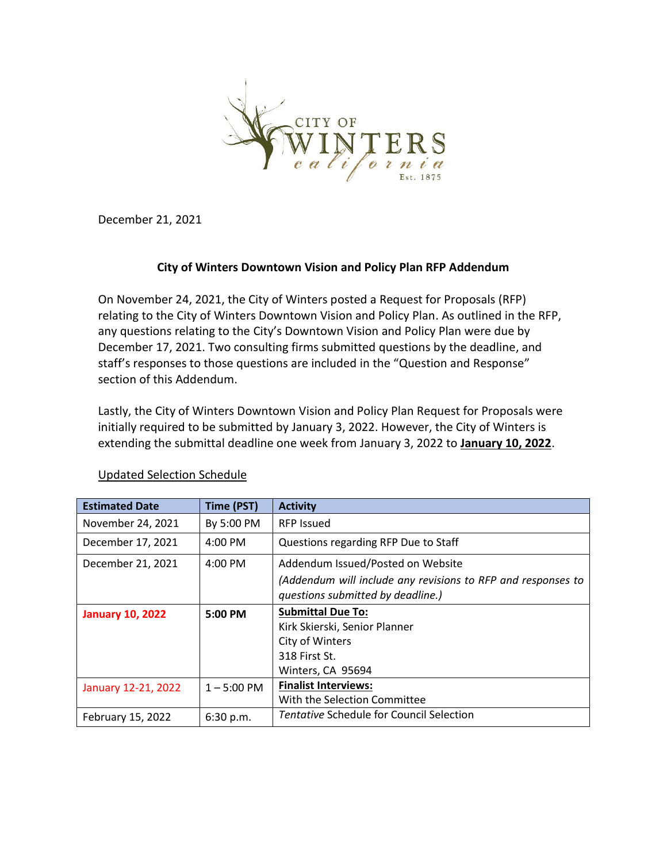

December 21, 2021

### **City of Winters Downtown Vision and Policy Plan RFP Addendum**

On November 24, 2021, the City of Winters posted a Request for Proposals (RFP) relating to the City of Winters Downtown Vision and Policy Plan. As outlined in the RFP, any questions relating to the City's Downtown Vision and Policy Plan were due by December 17, 2021. Two consulting firms submitted questions by the deadline, and staff's responses to those questions are included in the "Question and Response" section of this Addendum.

Lastly, the City of Winters Downtown Vision and Policy Plan Request for Proposals were initially required to be submitted by January 3, 2022. However, the City of Winters is extending the submittal deadline one week from January 3, 2022 to **January 10, 2022**.

| <b>Estimated Date</b>   | Time (PST)        | <b>Activity</b>                                                                                   |
|-------------------------|-------------------|---------------------------------------------------------------------------------------------------|
| November 24, 2021       | By 5:00 PM        | <b>RFP Issued</b>                                                                                 |
| December 17, 2021       | $4:00 \text{ PM}$ | Questions regarding RFP Due to Staff                                                              |
| December 21, 2021       | $4:00 \text{ PM}$ | Addendum Issued/Posted on Website                                                                 |
|                         |                   | (Addendum will include any revisions to RFP and responses to<br>questions submitted by deadline.) |
| <b>January 10, 2022</b> | 5:00 PM           | <b>Submittal Due To:</b>                                                                          |
|                         |                   | Kirk Skierski, Senior Planner                                                                     |
|                         |                   | City of Winters                                                                                   |
|                         |                   | 318 First St.                                                                                     |
|                         |                   | Winters, CA 95694                                                                                 |
| January 12-21, 2022     | $1 - 5:00$ PM     | <b>Finalist Interviews:</b>                                                                       |
|                         |                   | With the Selection Committee                                                                      |
| February 15, 2022       | 6:30 p.m.         | <b>Tentative Schedule for Council Selection</b>                                                   |

#### Updated Selection Schedule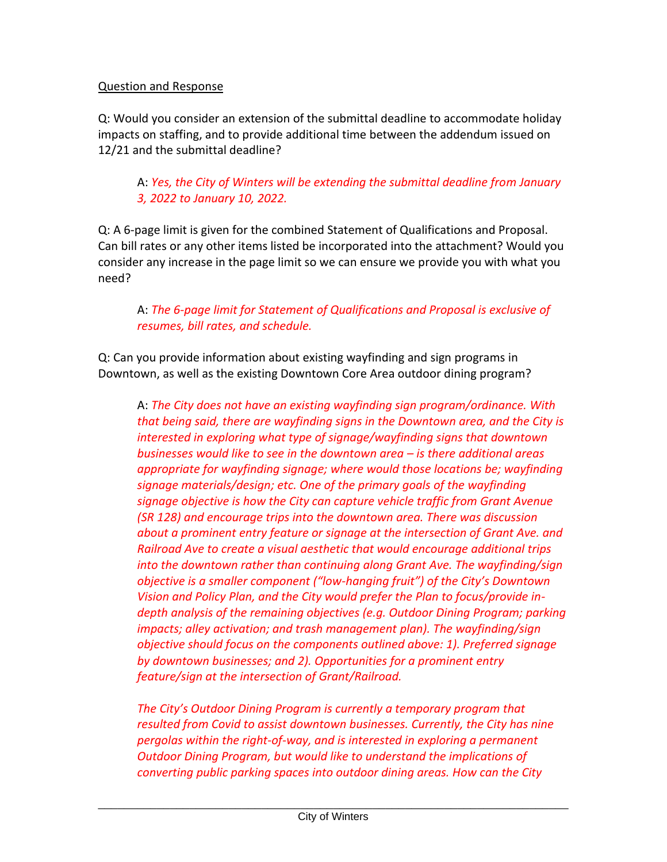### Question and Response

Q: Would you consider an extension of the submittal deadline to accommodate holiday impacts on staffing, and to provide additional time between the addendum issued on 12/21 and the submittal deadline?

# A: *Yes, the City of Winters will be extending the submittal deadline from January 3, 2022 to January 10, 2022.*

Q: A 6-page limit is given for the combined Statement of Qualifications and Proposal. Can bill rates or any other items listed be incorporated into the attachment? Would you consider any increase in the page limit so we can ensure we provide you with what you need?

## A: *The 6-page limit for Statement of Qualifications and Proposal is exclusive of resumes, bill rates, and schedule.*

Q: Can you provide information about existing wayfinding and sign programs in Downtown, as well as the existing Downtown Core Area outdoor dining program?

A: *The City does not have an existing wayfinding sign program/ordinance. With that being said, there are wayfinding signs in the Downtown area, and the City is interested in exploring what type of signage/wayfinding signs that downtown businesses would like to see in the downtown area – is there additional areas appropriate for wayfinding signage; where would those locations be; wayfinding signage materials/design; etc. One of the primary goals of the wayfinding signage objective is how the City can capture vehicle traffic from Grant Avenue (SR 128) and encourage trips into the downtown area. There was discussion about a prominent entry feature or signage at the intersection of Grant Ave. and Railroad Ave to create a visual aesthetic that would encourage additional trips into the downtown rather than continuing along Grant Ave. The wayfinding/sign objective is a smaller component ("low-hanging fruit") of the City's Downtown Vision and Policy Plan, and the City would prefer the Plan to focus/provide indepth analysis of the remaining objectives (e.g. Outdoor Dining Program; parking impacts; alley activation; and trash management plan). The wayfinding/sign objective should focus on the components outlined above: 1). Preferred signage by downtown businesses; and 2). Opportunities for a prominent entry feature/sign at the intersection of Grant/Railroad.*

*The City's Outdoor Dining Program is currently a temporary program that resulted from Covid to assist downtown businesses. Currently, the City has nine pergolas within the right-of-way, and is interested in exploring a permanent Outdoor Dining Program, but would like to understand the implications of converting public parking spaces into outdoor dining areas. How can the City*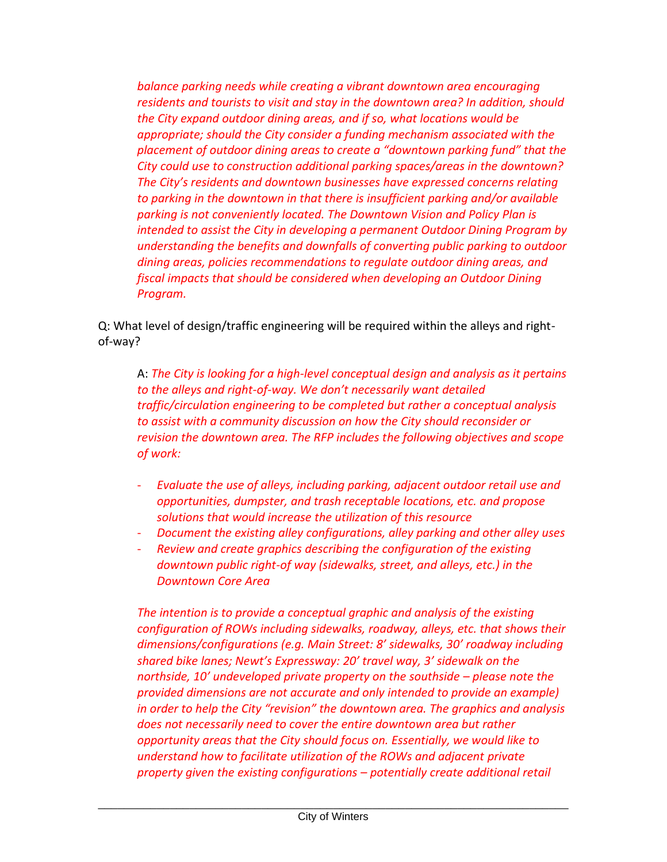*balance parking needs while creating a vibrant downtown area encouraging residents and tourists to visit and stay in the downtown area? In addition, should the City expand outdoor dining areas, and if so, what locations would be appropriate; should the City consider a funding mechanism associated with the placement of outdoor dining areas to create a "downtown parking fund" that the City could use to construction additional parking spaces/areas in the downtown? The City's residents and downtown businesses have expressed concerns relating to parking in the downtown in that there is insufficient parking and/or available parking is not conveniently located. The Downtown Vision and Policy Plan is intended to assist the City in developing a permanent Outdoor Dining Program by understanding the benefits and downfalls of converting public parking to outdoor dining areas, policies recommendations to regulate outdoor dining areas, and fiscal impacts that should be considered when developing an Outdoor Dining Program.* 

Q: What level of design/traffic engineering will be required within the alleys and rightof-way?

A: *The City is looking for a high-level conceptual design and analysis as it pertains to the alleys and right-of-way. We don't necessarily want detailed traffic/circulation engineering to be completed but rather a conceptual analysis to assist with a community discussion on how the City should reconsider or revision the downtown area. The RFP includes the following objectives and scope of work:*

- *Evaluate the use of alleys, including parking, adjacent outdoor retail use and opportunities, dumpster, and trash receptable locations, etc. and propose solutions that would increase the utilization of this resource*
- *Document the existing alley configurations, alley parking and other alley uses*
- *Review and create graphics describing the configuration of the existing downtown public right-of way (sidewalks, street, and alleys, etc.) in the Downtown Core Area*

*The intention is to provide a conceptual graphic and analysis of the existing configuration of ROWs including sidewalks, roadway, alleys, etc. that shows their dimensions/configurations (e.g. Main Street: 8' sidewalks, 30' roadway including shared bike lanes; Newt's Expressway: 20' travel way, 3' sidewalk on the northside, 10' undeveloped private property on the southside – please note the provided dimensions are not accurate and only intended to provide an example) in order to help the City "revision" the downtown area. The graphics and analysis does not necessarily need to cover the entire downtown area but rather opportunity areas that the City should focus on. Essentially, we would like to understand how to facilitate utilization of the ROWs and adjacent private property given the existing configurations – potentially create additional retail*